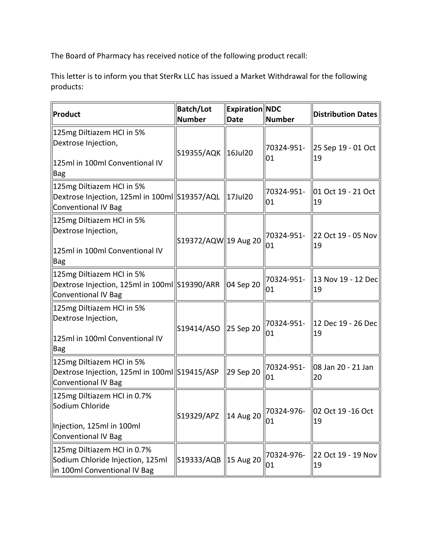The Board of Pharmacy has received notice of the following product recall:

This letter is to inform you that SterRx LLC has issued a Market Withdrawal for the following products:

| Product                                                                                                  | <b>Batch/Lot</b><br>Number | <b>Expiration NDC</b><br><b>Date</b> | Number           | <b>Distribution Dates</b>  |
|----------------------------------------------------------------------------------------------------------|----------------------------|--------------------------------------|------------------|----------------------------|
| 125mg Diltiazem HCI in 5%<br>Dextrose Injection,<br>125ml in 100ml Conventional IV<br><b>Bag</b>         | S19355/AQK   16Jul20       |                                      | 70324-951-<br>01 | 25 Sep 19 - 01 Oct<br>19   |
| 125mg Diltiazem HCI in 5%<br>Dextrose Injection, 125ml in 100ml S19357/AQL<br><b>Conventional IV Bag</b> |                            | 17Jul20                              | 70324-951-<br>01 | 01 Oct 19 - 21 Oct<br>19   |
| 125mg Diltiazem HCI in 5%<br>Dextrose Injection,<br>125ml in 100ml Conventional IV<br><b>Bag</b>         | S19372/AQW 19 Aug 20       |                                      | 70324-951-<br>01 | 22 Oct 19 - 05 Nov<br>19   |
| 125mg Diltiazem HCI in 5%<br>Dextrose Injection, 125ml in 100ml S19390/ARR<br><b>Conventional IV Bag</b> |                            | 04 Sep 20                            | 70324-951-<br>01 | 13 Nov 19 - 12 Dec<br>19   |
| 125mg Diltiazem HCI in 5%<br>Dextrose Injection,<br>125ml in 100ml Conventional IV<br><b>Bag</b>         | S19414/ASO                 | 25 Sep 20                            | 70324-951-<br>01 | 12 Dec 19 - 26 Dec  <br>19 |
| 125mg Diltiazem HCI in 5%<br>Dextrose Injection, 125ml in 100ml S19415/ASP<br><b>Conventional IV Bag</b> |                            | 29 Sep 20                            | 70324-951-<br>01 | 08 Jan 20 - 21 Jan<br>20   |
| 125mg Diltiazem HCI in 0.7%<br>Sodium Chloride<br>Injection, 125ml in 100ml<br>Conventional IV Bag       | S19329/APZ 14 Aug 20       |                                      | 70324-976-<br>01 | 02 Oct 19 - 16 Oct<br>19   |
| 125mg Diltiazem HCI in 0.7%<br>Sodium Chloride Injection, 125ml<br>in 100ml Conventional IV Bag          | S19333/AQB 15 Aug 20       |                                      | 70324-976-<br>01 | 22 Oct 19 - 19 Nov<br>19   |